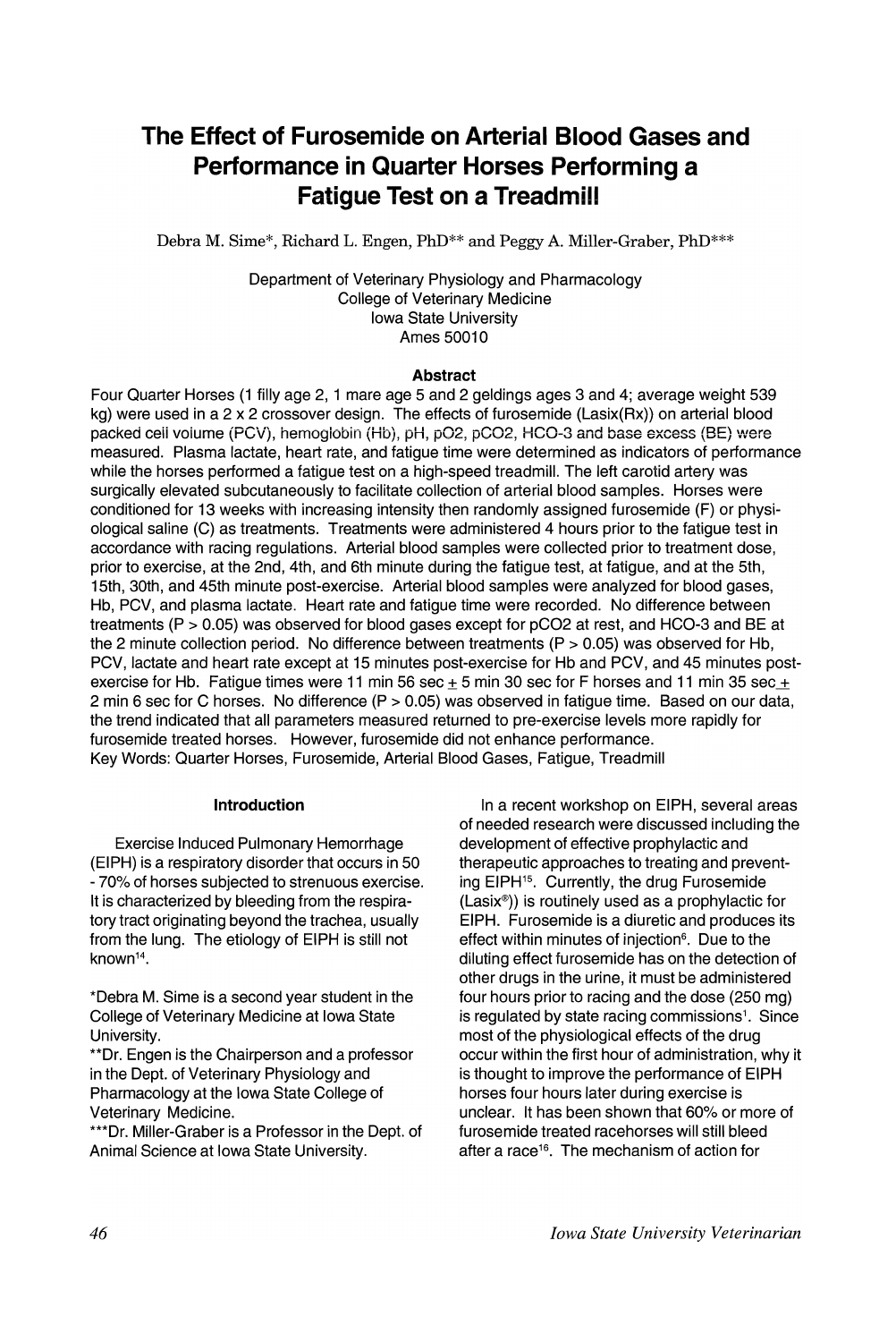# **The Effect of Furosemide on Arterial Blood Gases and Performance in Quarter Horses Performing a Fatigue Test on a Treadmill**

Debra M. Sime\*, Richard L. Engen, PhD\*\* and Peggy A. Miller-Graber, PhD\*\*\*

Department of Veterinary Physiology and Pharmacology College of Veterinary Medicine Iowa State University Ames 50010

### **Abstract**

Four Quarter Horses (1 'filly age 2, 1 mare age 5 and 2 geldings ages 3 and 4; average weight 539 kg) were used in a 2 x 2 crossover design. The effects of furosemide (Lasix(Rx)) on arterial blood packed cell volume (PCV), hemoglobin (Hb), pH, pO2, pCO2, HCO-3 and base excess (BE) were measured. Plasma lactate, heart rate, and fatigue time were determined as indicators of perlormance while the horses performed a fatigue test on a high-speed treadmill. The left carotid artery was surgically elevated subcutaneously to facilitate collection of arterial blood samples. Horses were conditioned for 13 weeks with increasing intensity then randomly assigned furosemide (F) or physiological saline (C) as treatments. Treatments were administered 4 hours prior to the fatigue test in accordance with racing regulations. Arterial blood samples were collected prior to treatment dose, prior to exercise, at the 2nd, 4th, and 6th minute during the fatigue test, at fatigue, and at the 5th, 15th, 30th, and 45th minute post-exercise. Arterial blood samples were analyzed for blood gases, Hb, PCV, and plasma lactate. Heart rate and fatigue time were recorded. No difference between treatments (P > 0.05) was observed for blood gases except for pC02 at rest, and HCO-3 and BE at the 2 minute collection period. No difference between treatments (P > 0.05) was observed for Hb, PCV, lactate and heart rate except at 15 minutes post-exercise for Hb and PCV, and 45 minutes postexercise for Hb. Fatigue times were 11 min 56 sec  $\pm$  5 min 30 sec for F horses and 11 min 35 sec  $\pm$ 2 min 6 sec for C horses. No difference (P > 0.05) was observed in fatigue time. Based on our data, the trend indicated that all parameters measured returned to pre-exercise levels more rapidly for furosemide treated horses. However, furosemide did not enhance performance. Key Words: Quarter Horses, Furosemide, Arterial Blood Gases, Fatigue, Treadmill

### **Introduction**

Exercise Induced Pulmonary Hemorrhage (EIPH) is a respiratory disorder that occurs in 50 - 70% of horses subjected to strenuous exercise. It is characterized by bleeding from the respiratory tract originating beyond the trachea, usually from the lung. The etiology of EIPH is still not known<sup>14</sup>.

\*Debra M. Sime is a second year student in the College of Veterinary Medicine at Iowa State University.

\*\*Dr. Engen is the Chairperson and a professor in the Dept. of Veterinary Physiology and Pharmacology at the Iowa State College of Veterinary Medicine.

\*\*\*Dr. Miller-Graber is a Professor in the Dept. of Animal Science at Iowa State University.

In a recent workshop on EIPH, several areas of needed research were discussed including the development of effective prophylactic and therapeutic approaches to treating and preventing EIPH<sup>15</sup>. Currently, the drug Furosemide  $(Lasix<sup>®</sup>)$ ) is routinely used as a prophylactic for EIPH. Furosemide is a diuretic and produces its effect within minutes of injection<sup>6</sup>. Due to the diluting effect furosemide has on the detection of other drugs in the urine, it must be administered four hours prior to racing and the dose (250 mg) is regulated by state racing commissions<sup>1</sup>. Since most of the physiological effects of the drug occur within the first hour of administration, why it is thought to improve the performance of EIPH<br>horses four hours later during exercise is horses four hours later during exercise is unclear. It has been shown that 60% or more of 'furosemide treated racehorses will still bleed after a race<sup>16</sup>. The mechanism of action for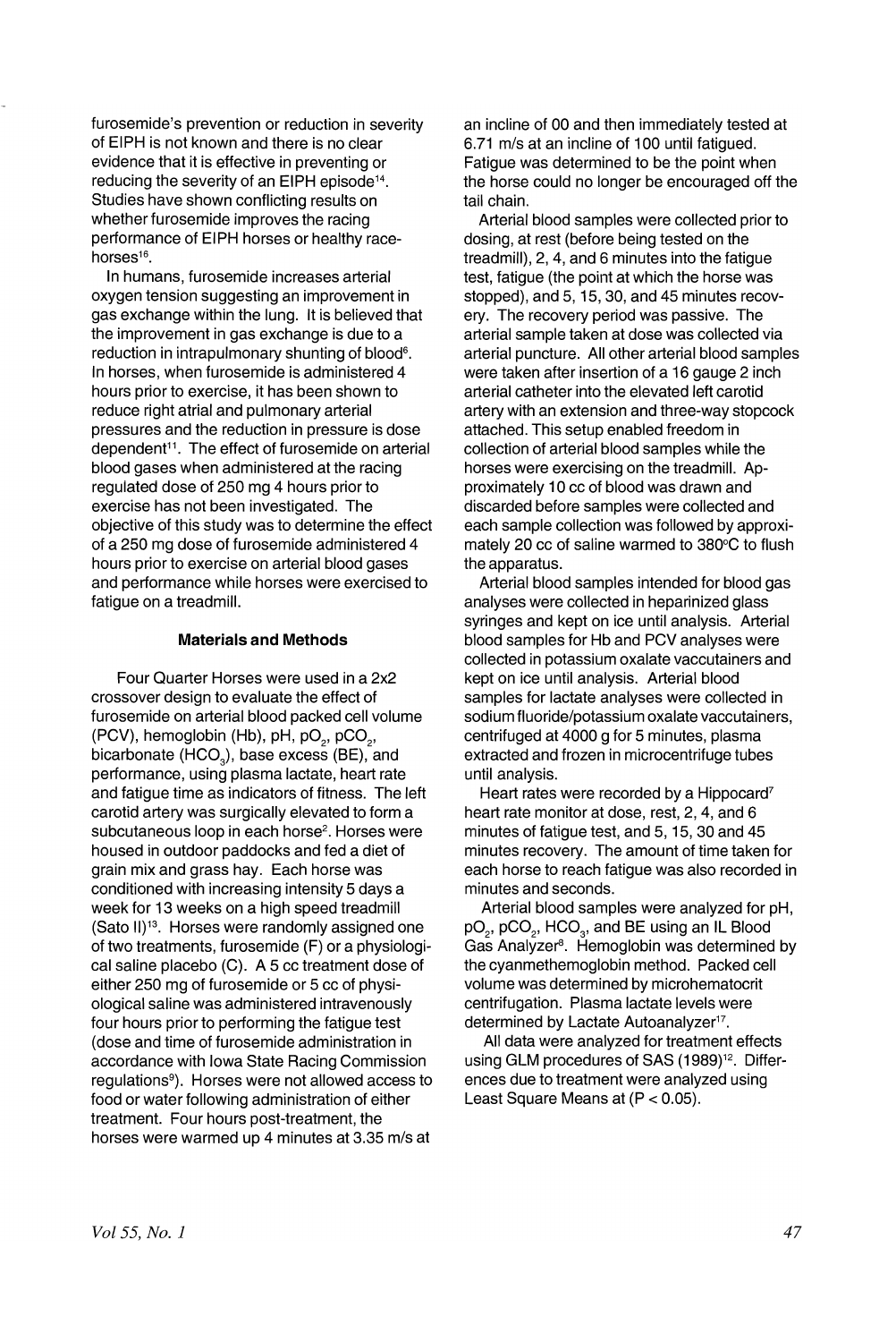furosemide's prevention or reduction in severity of EIPH is not known and there is no clear evidence that it is effective in preventing or reducing the severity of an EIPH episode<sup>14</sup>. Studies have shown conflicting results on whether furosemide improves the racing performance of EIPH horses or healthy racehorses<sup>16</sup>.

In humans, furosemide increases arterial oxygen tension suggesting an improvement in gas exchange within the lung. It is believed that the improvement in gas exchange is due to a reduction in intrapulmonary shunting of blood<sup>6</sup>. In horses, when furosemide is administered 4 hours prior to exercise, it has been shown to reduce right atrial and pulmonary arterial pressures and the reduction in pressure is dose dependent<sup>11</sup>. The effect of furosemide on arterial blood gases when administered at the racing regulated dose of 250 mg 4 hours prior to exercise has not been investigated. The objective of this study was to determine the effect of a 250 mg dose of furosemide administered 4 hours prior to exercise on arterial blood gases and performance while horses were exercised to fatigue on a treadmill.

#### **Materials and Methods**

Four Quarter Horses were used in a 2x2 crossover design to evaluate the effect of furosemide on arterial blood packed cell volume (PCV), hemoglobin (Hb), pH, pO<sub>2</sub>, pCO<sub>2</sub>, bicarbonate (HCO<sub>2</sub>), base excess (BE), and performance, using plasma lactate, heart rate and fatigue time as indicators of fitness. The left carotid artery was surgically elevated to form a subcutaneous loop in each horse<sup>2</sup>. Horses were housed in outdoor paddocks and fed a diet of grain mix and grass hay. Each horse was conditioned with increasing intensity 5 days a week for 13 weeks on a high speed treadmill (Sato 11)13. Horses were randomly assigned one of two treatments, furosemide (F) or a physiological saline placebo (C). A 5 cc treatment dose of either 250 mg of furosemide or 5 cc of physiological saline was administered intravenously four hours prior to performing the fatigue test (dose and time of furosemide administration in accordance with Iowa State Racing Commission regulations9 ). Horses were not allowed access to food or water following administration of either treatment. Four hours post-treatment, the horses were warmed up 4 minutes at 3.35 m/s at

an incline of 00 and then immediately tested at 6.71 m/s at an incline of 100 until fatigued. Fatigue was determined to be the point when the horse could no longer be encouraged off the tail chain.

Arterial blood samples were collected prior to dosing, at rest (before being tested on the treadmill), 2, 4, and 6 minutes into the fatigue test, fatigue (the point at which the horse was stopped), and 5, 15, 30, and 45 minutes recovery. The recovery period was passive. The arterial sample taken at dose was collected via arterial puncture. All other arterial blood samples were taken after insertion of a 16 gauge 2 inch arterial catheter into the elevated left carotid artery with an extension and three-way stopcock attached. This setup enabled freedom in collection of arterial blood samples while the horses were exercising on the treadmill. Approximately 10 cc of blood was drawn and discarded before samples were collected and each sample collection was followed by approximately 20  $cc$  of saline warmed to  $380^{\circ}$ C to flush the apparatus.

Arterial blood samples intended for blood gas analyses were collected in heparinized glass syringes and kept on ice until analysis. Arterial blood samples for Hb and PCV analyses were collected in potassium oxalate vaccutainers and kept on ice until analysis. Arterial blood samples for lactate analyses were collected in sodium fluoride/potassium oxalate vaccutainers, centrifuged at 4000 g for 5 minutes, plasma extracted and frozen in microcentrifuge tubes until analysis.

Heart rates were recorded by a Hippocard<sup>7</sup> heart rate monitor at dose, rest, 2, 4, and 6 minutes of fatigue test, and 5, 15, 30 and 45 minutes recovery. The amount of time taken for each horse to reach fatigue was also recorded in minutes and seconds.

Arterial blood samples were analyzed for pH, pO<sub>2</sub>, pCO<sub>2</sub>, HCO<sub>3</sub>, and BE using an IL Blood Gas Analyzer<sup>8</sup>. Hemoglobin was determined by the cyanmethemoglobin method. Packed cell volume was determined by microhematocrit centrifugation. Plasma lactate levels were determined by Lactate Autoanalyzer<sup>17</sup>.

All data were analyzed for treatment effects using GLM procedures of SAS (1989)<sup>12</sup>. Differences due to treatment were analyzed using Least Square Means at  $(P < 0.05)$ .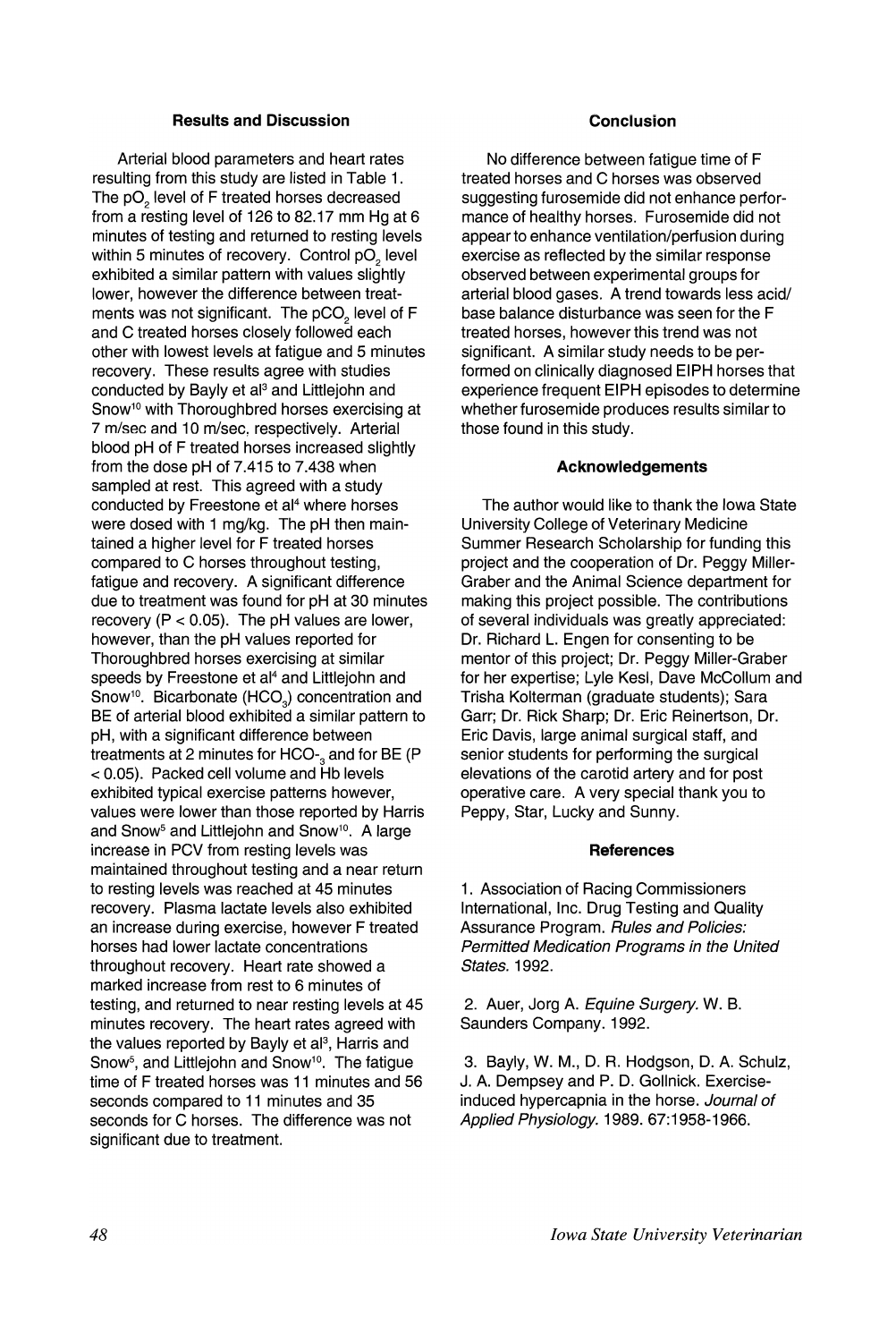# **Results and Discussion**

Arterial blood parameters and heart rates resulting from this study are listed in Table 1. The pO<sub>2</sub> level of F treated horses decreased from a resting level of 126 to 82.17 mm Hg at 6 minutes of testing and returned to resting levels within 5 minutes of recovery. Control pO<sub>2</sub> level exhibited a similar pattern with values slightly lower, however the difference between treatments was not significant. The  $pCO<sub>2</sub>$  level of F and C treated horses closely followed each other with lowest levels at fatigue and 5 minutes recovery. These results agree with studies conducted by Bayly et al<sup>3</sup> and Littlejohn and Snow<sup>10</sup> with Thoroughbred horses exercising at 7 m/sec and 10 m/sec, respectively. Arterial blood pH of F treated horses increased slightly from the dose pH of 7.415 to 7.438 when sampled at rest. This agreed with a study conducted by Freestone et al<sup>4</sup> where horses were dosed with 1 mg/kg. The pH then maintained a higher level for F treated horses compared to C horses throughout testing, fatigue and recovery. A significant difference due to treatment was found for pH at 30 minutes recovery  $(P < 0.05)$ . The pH values are lower, however, than the pH values reported for Thoroughbred horses exercising at similar speeds by Freestone et al<sup>4</sup> and Littlejohn and Snow<sup>®</sup>. Bicarbonate (HCO<sub>3</sub>) concentration and BE of arterial blood exhibited a similar pattern to pH, with a significant difference between treatments at 2 minutes for HCO-<sub>3</sub> and for BE (P < 0.05). Packed cell volume and Hb levels exhibited typical exercise patterns however, values were lower than those reported by Harris and Snow<sup>5</sup> and Littlejohn and Snow<sup>10</sup>. A large increase in PCV from resting levels was maintained throughout testing and a near return to resting levels was reached at 45 minutes recovery. Plasma lactate levels also exhibited an increase during exercise, however F treated horses had lower lactate concentrations throughout recovery. Heart rate showed a marked increase from rest to 6 minutes of testing, and returned to near resting levels at 45 minutes recovery. The heart rates agreed with the values reported by Bayly et al<sup>3</sup>, Harris and Snow<sup>5</sup>, and Littlejohn and Snow<sup>10</sup>. The fatigue time of F treated horses was 11 minutes and 56 seconds compared to 11 minutes and 35 seconds for C horses. The difference was not significant due to treatment.

### **Conclusion**

No difference between fatigue time of F treated horses and C horses was observed suggesting furosemide did not enhance performance of healthy horses. Furosemide did not appear to enhance ventilation/perfusion during exercise as reflected by the similar response observed between experimental groups for arterial blood gases. A trend towards less acid/ base balance disturbance was seen for the F treated horses, however this trend was not significant. A similar study needs to be performed on clinically diagnosed EIPH horses that experience frequent EIPH episodes to determine whether furosemide produces results similar to those found in this study.

# **Acknowledgements**

The author would like to thank the Iowa State University College of Veterinary Medicine Summer Research Scholarship for funding this project and the cooperation of Dr. Peggy Miller-Graber and the Animal Science department for making this project possible. The contributions of several individuals was greatly appreciated: Dr. Richard L. Engen for consenting to be mentor of this project; Dr. Peggy Miller-Graber for her expertise; Lyle Kesl, Dave McCollum and Trisha Kolterman (graduate students); Sara Garr; Dr. Rick Sharp; Dr. Eric Reinertson, Dr. Eric Davis, large animal surgical staff, and senior students for performing the surgical elevations of the carotid artery and for post operative care. A very special thank you to Peppy, Star, Lucky and Sunny.

## **References**

1. Association of Racing Commissioners International, Inc. Drug Testing and Quality Assurance Program. Rules and Policies: Permitted Medication Programs in the United States. 1992.

2. Auer, Jorg A. Equine Surgery. W. B. Saunders Company. 1992.

3. Bayly, W. M., D. R. Hodgson, D. A. Schulz, J. A. Dempsey and P. D. Gollnick. Exerciseinduced hypercapnia in the horse. Journal of Applied Physiology. 1989. 67: 1958-1966.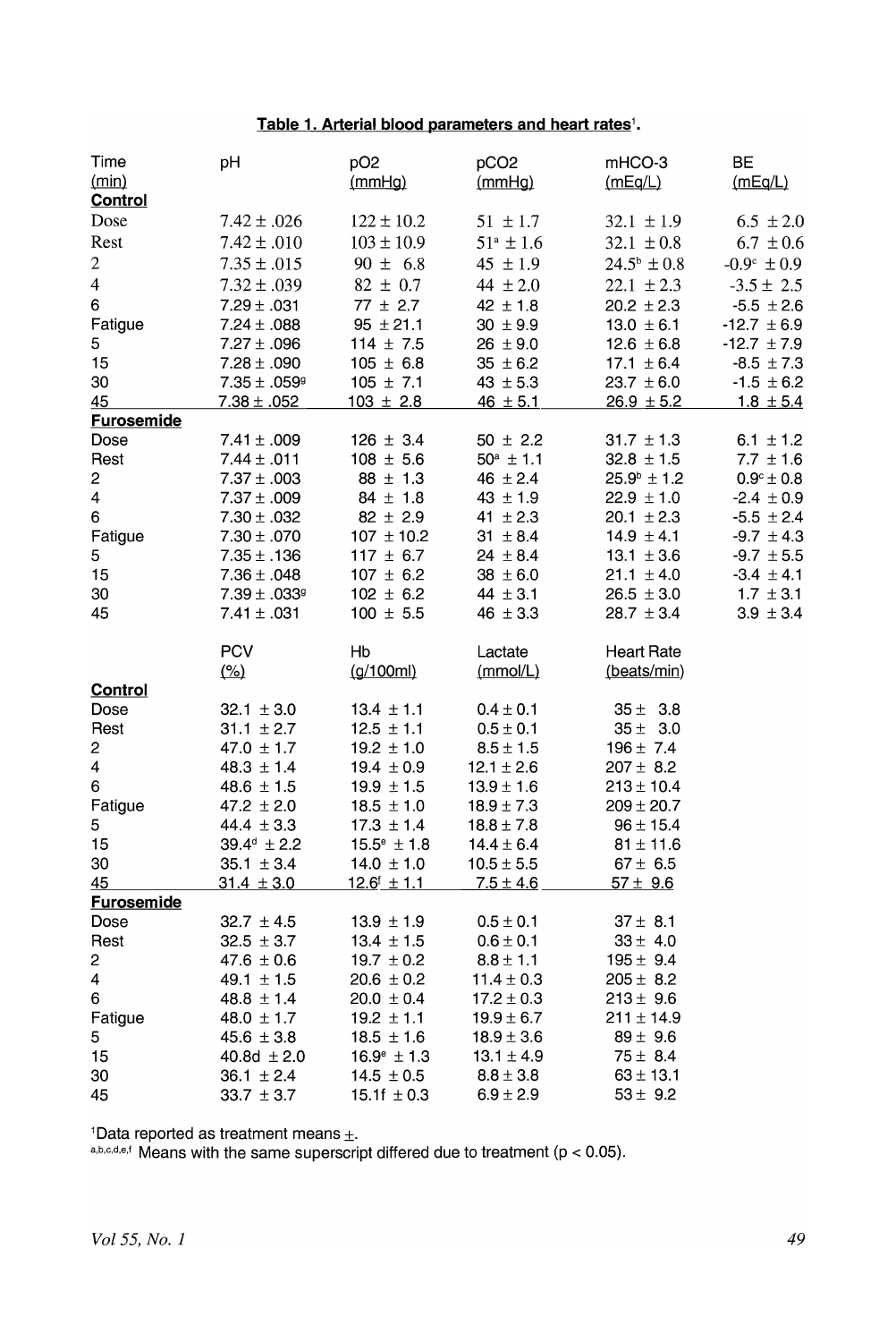# Table 1. Arterial blood parameters and heart rates<sup>1</sup>.

| Time                   | pH                               | pO <sub>2</sub>           | pCO <sub>2</sub>                | mHCO-3                 | BE                     |
|------------------------|----------------------------------|---------------------------|---------------------------------|------------------------|------------------------|
| (min)                  |                                  | (mmHg)                    | (mmHg)                          | (mEq/L)                | (mEq/L)                |
| <b>Control</b><br>Dose | $7.42 \pm .026$                  | $122 \pm 10.2$            |                                 |                        |                        |
|                        |                                  |                           | $51 \pm 1.7$                    | $32.1 \pm 1.9$         | $6.5 \pm 2.0$          |
| Rest                   | $7.42 \pm .010$                  | $103 \pm 10.9$            | $51^{\circ} \pm 1.6$            | $32.1 \pm 0.8$         | $6.7 \pm 0.6$          |
| $\overline{c}$         | $7.35 \pm .015$                  | $90 \pm 6.8$              | $45 \pm 1.9$                    | $24.5^{\circ} \pm 0.8$ | $-0.9^{\circ} \pm 0.9$ |
| 4                      | $7.32 \pm .039$                  | $82 \pm 0.7$              | 44 $\pm 2.0$                    | $22.1 \pm 2.3$         | $-3.5 \pm 2.5$         |
| 6                      | $7.29 \pm .031$                  | $77 \pm 2.7$              | $42 \pm 1.8$                    | $20.2 \pm 2.3$         | $-5.5 \pm 2.6$         |
| Fatigue                | $7.24 \pm .088$                  | $95 \pm 21.1$             | $30 \pm 9.9$                    | $13.0 \pm 6.1$         | $-12.7 \pm 6.9$        |
| 5                      | $7.27 \pm .096$                  | $114 \pm 7.5$             | $26 \pm 9.0$                    | $12.6 \pm 6.8$         | $-12.7 \pm 7.9$        |
| 15                     | $7.28 \pm .090$                  | $105 \pm 6.8$             | $35 \pm 6.2$                    | $17.1 \pm 6.4$         | $-8.5 \pm 7.3$         |
| 30                     | $7.35 \pm .059$ <sup>g</sup>     | $105 \pm 7.1$             | $43 \pm 5.3$                    | $23.7 \pm 6.0$         | $-1.5 \pm 6.2$         |
| 45                     | $7.38 \pm .052$                  | $103 \pm 2.8$             | $46 \pm 5.1$                    | $26.9 \pm 5.2$         | $1.8 \pm 5.4$          |
| <b>Furosemide</b>      |                                  |                           |                                 |                        |                        |
| Dose                   | $7.41 \pm .009$                  | $126 \pm 3.4$             | $50 \pm 2.2$                    | $31.7 \pm 1.3$         | 6.1 $\pm$ 1.2          |
| Rest                   | $7.44 \pm .011$                  | $108 \pm 5.6$             | $50^a \pm 1.1$                  | $32.8 \pm 1.5$         | $7.7 \pm 1.6$          |
| 2                      | $7.37 \pm .003$                  | $88 \pm 1.3$              | $46 \pm 2.4$                    | $25.9^{\circ} \pm 1.2$ | $0.9^{\circ} \pm 0.8$  |
| 4                      | $7.37 \pm .009$                  | $84 \pm 1.8$              | $43 \pm 1.9$                    | $22.9 \pm 1.0$         | $-2.4 \pm 0.9$         |
| 6                      | $7.30 \pm .032$                  | $82 \pm 2.9$              | 41 $\pm 2.3$                    | $20.1 \pm 2.3$         | $-5.5 \pm 2.4$         |
| Fatigue                | $7.30 \pm .070$                  | $107 \pm 10.2$            | $31 \pm 8.4$                    | $14.9 \pm 4.1$         | $-9.7 \pm 4.3$         |
| 5                      | $7.35 \pm .136$                  | 117 $\pm$ 6.7             | $24 \pm 8.4$                    | $13.1 \pm 3.6$         | $-9.7 \pm 5.5$         |
| 15                     | $7.36 \pm .048$                  | $107 \pm 6.2$             | $38 \pm 6.0$                    | $21.1 \pm 4.0$         | $-3.4 \pm 4.1$         |
| 30                     | $7.39 \pm .0339$                 | $102 \pm 6.2$             | $44 \pm 3.1$                    | $26.5 \pm 3.0$         | $1.7 \pm 3.1$          |
| 45                     | $7.41 \pm .031$                  | $100 \pm 5.5$             | $46 \pm 3.3$                    | $28.7 \pm 3.4$         | $3.9 \pm 3.4$          |
|                        | <b>PCV</b>                       | Hb                        | Lactate                         | <b>Heart Rate</b>      |                        |
|                        | $\frac{(\%)}{(\%)}$              | (g/100ml)                 | (mmol/L)                        | (beats/min)            |                        |
| <b>Control</b>         |                                  |                           |                                 |                        |                        |
|                        |                                  |                           |                                 |                        |                        |
| Dose                   | $32.1 \pm 3.0$                   | $13.4 \pm 1.1$            | $0.4 \pm 0.1$                   | $35 \pm 3.8$           |                        |
| Rest                   | $31.1 \pm 2.7$                   | $12.5 \pm 1.1$            | $0.5 \pm 0.1$                   | $35 \pm 3.0$           |                        |
| 2                      | $47.0 \pm 1.7$                   | $19.2 \pm 1.0$            | $8.5 \pm 1.5$                   | $196 \pm 7.4$          |                        |
| 4                      | $48.3 \pm 1.4$                   | $19.4 \pm 0.9$            | $12.1 \pm 2.6$                  | $207 \pm 8.2$          |                        |
| 6                      | $48.6 \pm 1.5$                   | $19.9 \pm 1.5$            | $13.9 \pm 1.6$                  | $213 \pm 10.4$         |                        |
|                        | 47.2 $\pm$ 2.0                   | $18.5 \pm 1.0$            | $18.9 \pm 7.3$                  | $209 \pm 20.7$         |                        |
| Fatigue<br>5           | 44.4 $\pm$ 3.3                   | $17.3 \pm 1.4$            | $18.8 \pm 7.8$                  | $96 \pm 15.4$          |                        |
| 15                     | $39.4^d \pm 2.2$                 | $15.5^{\circ}$ ± 1.8      | $14.4 \pm 6.4$                  | $81 \pm 11.6$          |                        |
| 30                     |                                  | 14.0 $\pm$ 1.0            |                                 | $67 \pm 6.5$           |                        |
| 45                     | $35.1 \pm 3.4$<br>$31.4 \pm 3.0$ |                           | $10.5 \pm 5.5$<br>$7.5 \pm 4.6$ | $\frac{57 \pm 9.6}{2}$ |                        |
| <b>Furosemide</b>      |                                  | $12.6^{\text{f}} \pm 1.1$ |                                 |                        |                        |
| Dose                   | $32.7 \pm 4.5$                   | $13.9 \pm 1.9$            | $0.5 \pm 0.1$                   | $37 \pm 8.1$           |                        |
| Rest                   | $32.5 \pm 3.7$                   | $13.4 \pm 1.5$            | $0.6 \pm 0.1$                   | $33 \pm 4.0$           |                        |
| 2                      | $47.6 \pm 0.6$                   | $19.7 \pm 0.2$            | $8.8 \pm 1.1$                   | $195 \pm 9.4$          |                        |
| 4                      | 49.1 $\pm$ 1.5                   | $20.6 \pm 0.2$            | $11.4 \pm 0.3$                  | $205 \pm 8.2$          |                        |
| 6                      | $48.8 \pm 1.4$                   | $20.0 \pm 0.4$            | $17.2 \pm 0.3$                  | $213 \pm 9.6$          |                        |
| Fatigue                | 48.0 $\pm$ 1.7                   | $19.2 \pm 1.1$            | $19.9 \pm 6.7$                  | $211 \pm 14.9$         |                        |
| 5                      | $45.6 \pm 3.8$                   | $18.5 \pm 1.6$            | $18.9 \pm 3.6$                  | $89 \pm 9.6$           |                        |
| 15                     | 40.8d $\pm 2.0$                  | $16.9^{\circ} \pm 1.3$    | $13.1 \pm 4.9$                  | $75 \pm 8.4$           |                        |
| 30                     | $36.1 \pm 2.4$                   | $14.5 \pm 0.5$            | $8.8 \pm 3.8$                   | $63 \pm 13.1$          |                        |

1Data reported as treatment means  $\pm$ .

a,b,c,d,e,f Means with the same superscript differed due to treatment ( $p < 0.05$ ).